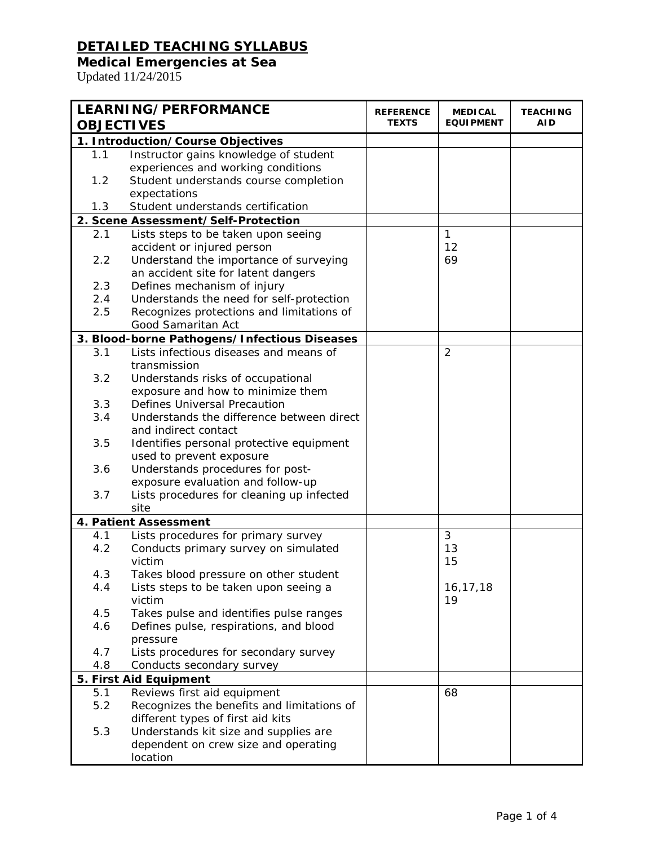#### **Medical Emergencies at Sea**

| <b>LEARNING/PERFORMANCE</b> |                                                   | <b>REFERENCE</b> | <b>MEDICAL</b>   | <b>TEACHING</b> |
|-----------------------------|---------------------------------------------------|------------------|------------------|-----------------|
| <b>OBJECTIVES</b>           |                                                   | <b>TEXTS</b>     | <b>EQUIPMENT</b> | AID             |
|                             | 1. Introduction/Course Objectives                 |                  |                  |                 |
| 1.1                         | Instructor gains knowledge of student             |                  |                  |                 |
|                             | experiences and working conditions                |                  |                  |                 |
| 1.2                         | Student understands course completion             |                  |                  |                 |
|                             | expectations                                      |                  |                  |                 |
| 1.3                         | Student understands certification                 |                  |                  |                 |
|                             | 2. Scene Assessment/Self-Protection               |                  |                  |                 |
| 2.1                         | Lists steps to be taken upon seeing               |                  | $\mathbf{1}$     |                 |
|                             | accident or injured person                        |                  | 12               |                 |
| 2.2                         | Understand the importance of surveying            |                  | 69               |                 |
|                             | an accident site for latent dangers               |                  |                  |                 |
| 2.3                         | Defines mechanism of injury                       |                  |                  |                 |
| 2.4                         | Understands the need for self-protection          |                  |                  |                 |
| 2.5                         | Recognizes protections and limitations of         |                  |                  |                 |
|                             | Good Samaritan Act                                |                  |                  |                 |
|                             | 3. Blood-borne Pathogens/Infectious Diseases      |                  |                  |                 |
| 3.1                         | Lists infectious diseases and means of            |                  | $\overline{2}$   |                 |
|                             | transmission                                      |                  |                  |                 |
| 3.2                         | Understands risks of occupational                 |                  |                  |                 |
|                             | exposure and how to minimize them                 |                  |                  |                 |
| 3.3                         | <b>Defines Universal Precaution</b>               |                  |                  |                 |
| 3.4                         | Understands the difference between direct         |                  |                  |                 |
|                             | and indirect contact                              |                  |                  |                 |
| 3.5                         | Identifies personal protective equipment          |                  |                  |                 |
|                             | used to prevent exposure                          |                  |                  |                 |
| 3.6                         | Understands procedures for post-                  |                  |                  |                 |
| 3.7                         | exposure evaluation and follow-up                 |                  |                  |                 |
|                             | Lists procedures for cleaning up infected<br>site |                  |                  |                 |
|                             |                                                   |                  |                  |                 |
|                             | 4. Patient Assessment                             |                  |                  |                 |
| 4.1                         | Lists procedures for primary survey               |                  | 3                |                 |
| 4.2                         | Conducts primary survey on simulated<br>victim    |                  | 13<br>15         |                 |
|                             | Takes blood pressure on other student             |                  |                  |                 |
| 4.3<br>4.4                  | Lists steps to be taken upon seeing a             |                  | 16, 17, 18       |                 |
|                             | victim                                            |                  | 19               |                 |
| 4.5                         | Takes pulse and identifies pulse ranges           |                  |                  |                 |
| 4.6                         | Defines pulse, respirations, and blood            |                  |                  |                 |
|                             | pressure                                          |                  |                  |                 |
| 4.7                         | Lists procedures for secondary survey             |                  |                  |                 |
| 4.8                         | Conducts secondary survey                         |                  |                  |                 |
|                             | 5. First Aid Equipment                            |                  |                  |                 |
| 5.1                         | Reviews first aid equipment                       |                  | 68               |                 |
| 5.2                         | Recognizes the benefits and limitations of        |                  |                  |                 |
|                             | different types of first aid kits                 |                  |                  |                 |
| 5.3                         | Understands kit size and supplies are             |                  |                  |                 |
|                             | dependent on crew size and operating              |                  |                  |                 |
|                             | location                                          |                  |                  |                 |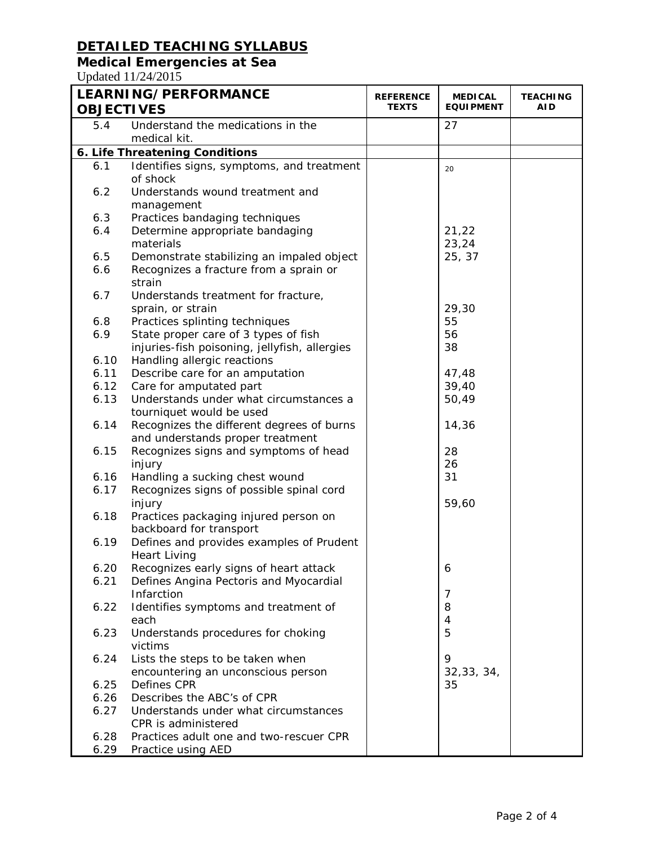# **Medical Emergencies at Sea**

| <b>LEARNING/PERFORMANCE</b><br><b>OBJECTIVES</b> |                                                                               | <b>REFERENCE</b><br><b>TEXTS</b> | <b>MEDICAL</b><br><b>EQUIPMENT</b> | <b>TEACHING</b><br>AID |
|--------------------------------------------------|-------------------------------------------------------------------------------|----------------------------------|------------------------------------|------------------------|
| 5.4                                              | Understand the medications in the<br>medical kit.                             |                                  | 27                                 |                        |
|                                                  | 6. Life Threatening Conditions                                                |                                  |                                    |                        |
| 6.1                                              | Identifies signs, symptoms, and treatment                                     |                                  | 20                                 |                        |
|                                                  | of shock                                                                      |                                  |                                    |                        |
| 6.2                                              | Understands wound treatment and                                               |                                  |                                    |                        |
|                                                  | management                                                                    |                                  |                                    |                        |
| 6.3                                              | Practices bandaging techniques                                                |                                  |                                    |                        |
| 6.4                                              | Determine appropriate bandaging                                               |                                  | 21,22                              |                        |
|                                                  | materials                                                                     |                                  | 23,24                              |                        |
| 6.5                                              | Demonstrate stabilizing an impaled object                                     |                                  | 25, 37                             |                        |
| 6.6                                              | Recognizes a fracture from a sprain or                                        |                                  |                                    |                        |
|                                                  | strain                                                                        |                                  |                                    |                        |
| 6.7                                              | Understands treatment for fracture,                                           |                                  |                                    |                        |
|                                                  | sprain, or strain                                                             |                                  | 29,30                              |                        |
| 6.8                                              | Practices splinting techniques                                                |                                  | 55                                 |                        |
| 6.9                                              | State proper care of 3 types of fish                                          |                                  | 56                                 |                        |
|                                                  | injuries-fish poisoning, jellyfish, allergies                                 |                                  | 38                                 |                        |
| 6.10                                             | Handling allergic reactions                                                   |                                  |                                    |                        |
| 6.11                                             | Describe care for an amputation                                               |                                  | 47,48                              |                        |
| 6.12                                             | Care for amputated part                                                       |                                  | 39,40                              |                        |
| 6.13                                             | Understands under what circumstances a<br>tourniquet would be used            |                                  | 50,49                              |                        |
| 6.14                                             | Recognizes the different degrees of burns<br>and understands proper treatment |                                  | 14,36                              |                        |
| 6.15                                             | Recognizes signs and symptoms of head                                         |                                  | 28                                 |                        |
|                                                  | injury                                                                        |                                  | 26                                 |                        |
| 6.16                                             | Handling a sucking chest wound                                                |                                  | 31                                 |                        |
| 6.17                                             | Recognizes signs of possible spinal cord                                      |                                  |                                    |                        |
|                                                  | injury                                                                        |                                  | 59,60                              |                        |
| 6.18                                             | Practices packaging injured person on                                         |                                  |                                    |                        |
|                                                  | backboard for transport                                                       |                                  |                                    |                        |
| 6.19                                             | Defines and provides examples of Prudent<br><b>Heart Living</b>               |                                  |                                    |                        |
| 6.20                                             | Recognizes early signs of heart attack                                        |                                  | 6                                  |                        |
| 6.21                                             | Defines Angina Pectoris and Myocardial                                        |                                  |                                    |                        |
|                                                  | Infarction                                                                    |                                  | 7                                  |                        |
| 6.22                                             | Identifies symptoms and treatment of                                          |                                  | 8                                  |                        |
|                                                  | each                                                                          |                                  | 4                                  |                        |
| 6.23                                             | Understands procedures for choking                                            |                                  | 5                                  |                        |
|                                                  | victims                                                                       |                                  |                                    |                        |
| 6.24                                             | Lists the steps to be taken when                                              |                                  | 9                                  |                        |
| 6.25                                             | encountering an unconscious person<br>Defines CPR                             |                                  | 32,33,34,<br>35                    |                        |
| 6.26                                             | Describes the ABC's of CPR                                                    |                                  |                                    |                        |
| 6.27                                             | Understands under what circumstances                                          |                                  |                                    |                        |
|                                                  | CPR is administered                                                           |                                  |                                    |                        |
| 6.28                                             | Practices adult one and two-rescuer CPR                                       |                                  |                                    |                        |
| 6.29                                             | Practice using AED                                                            |                                  |                                    |                        |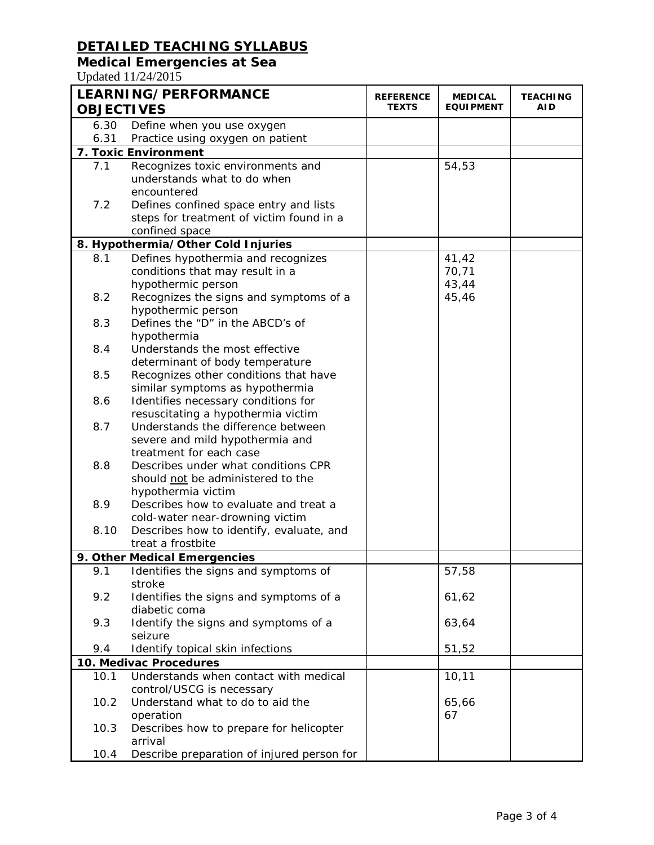## **Medical Emergencies at Sea**

| <b>OBJECTIVES</b> | <b>LEARNING/PERFORMANCE</b>                    | <b>REFERENCE</b><br>TEXTS | <b>MEDICAL</b><br><b>EQUIPMENT</b> | <b>TEACHING</b><br><b>AID</b> |
|-------------------|------------------------------------------------|---------------------------|------------------------------------|-------------------------------|
| 6.30              | Define when you use oxygen                     |                           |                                    |                               |
| 6.31              | Practice using oxygen on patient               |                           |                                    |                               |
|                   | 7. Toxic Environment                           |                           |                                    |                               |
| 7.1               | Recognizes toxic environments and              |                           | 54,53                              |                               |
|                   | understands what to do when                    |                           |                                    |                               |
|                   | encountered                                    |                           |                                    |                               |
| 7.2               | Defines confined space entry and lists         |                           |                                    |                               |
|                   | steps for treatment of victim found in a       |                           |                                    |                               |
|                   | confined space                                 |                           |                                    |                               |
|                   | 8. Hypothermia/Other Cold Injuries             |                           |                                    |                               |
| 8.1               | Defines hypothermia and recognizes             |                           | 41,42                              |                               |
|                   | conditions that may result in a                |                           | 70,71                              |                               |
|                   | hypothermic person                             |                           | 43,44                              |                               |
| 8.2               | Recognizes the signs and symptoms of a         |                           | 45,46                              |                               |
|                   | hypothermic person                             |                           |                                    |                               |
| 8.3               | Defines the "D" in the ABCD's of               |                           |                                    |                               |
|                   | hypothermia                                    |                           |                                    |                               |
| 8.4               | Understands the most effective                 |                           |                                    |                               |
|                   | determinant of body temperature                |                           |                                    |                               |
| 8.5               | Recognizes other conditions that have          |                           |                                    |                               |
|                   | similar symptoms as hypothermia                |                           |                                    |                               |
| 8.6               | Identifies necessary conditions for            |                           |                                    |                               |
|                   | resuscitating a hypothermia victim             |                           |                                    |                               |
| 8.7               | Understands the difference between             |                           |                                    |                               |
|                   | severe and mild hypothermia and                |                           |                                    |                               |
|                   | treatment for each case                        |                           |                                    |                               |
| 8.8               | Describes under what conditions CPR            |                           |                                    |                               |
|                   | should not be administered to the              |                           |                                    |                               |
|                   | hypothermia victim                             |                           |                                    |                               |
| 8.9               | Describes how to evaluate and treat a          |                           |                                    |                               |
|                   | cold-water near-drowning victim                |                           |                                    |                               |
| 8.10              | Describes how to identify, evaluate, and       |                           |                                    |                               |
|                   | treat a frostbite                              |                           |                                    |                               |
|                   | 9. Other Medical Emergencies                   |                           |                                    |                               |
| 9.1               | Identifies the signs and symptoms of<br>stroke |                           | 57,58                              |                               |
| 9.2               | Identifies the signs and symptoms of a         |                           | 61,62                              |                               |
|                   | diabetic coma                                  |                           |                                    |                               |
| 9.3               | Identify the signs and symptoms of a           |                           | 63,64                              |                               |
|                   | seizure                                        |                           |                                    |                               |
| 9.4               | Identify topical skin infections               |                           | 51,52                              |                               |
|                   | 10. Medivac Procedures                         |                           |                                    |                               |
| 10.1              | Understands when contact with medical          |                           | 10, 11                             |                               |
|                   | control/USCG is necessary                      |                           |                                    |                               |
| 10.2              | Understand what to do to aid the               |                           | 65,66                              |                               |
|                   | operation                                      |                           | 67                                 |                               |
| 10.3              | Describes how to prepare for helicopter        |                           |                                    |                               |
|                   | arrival                                        |                           |                                    |                               |
| 10.4              | Describe preparation of injured person for     |                           |                                    |                               |